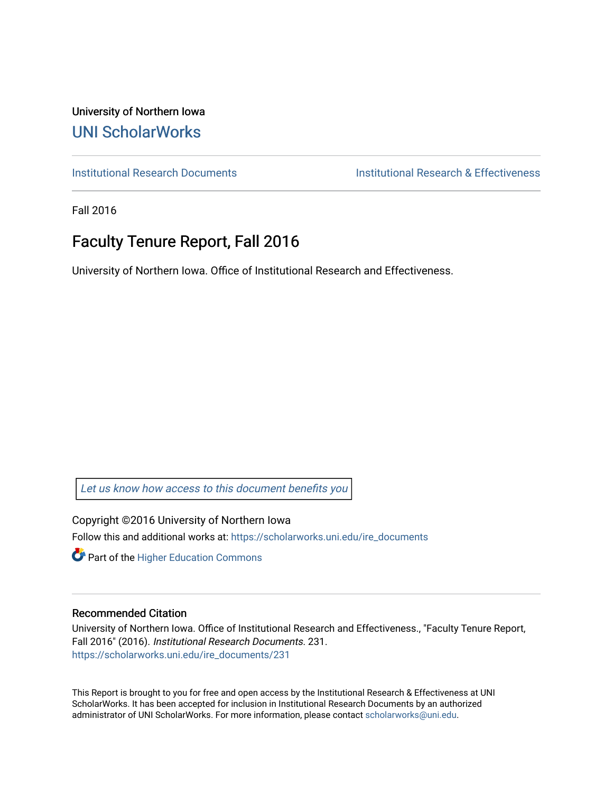University of Northern Iowa [UNI ScholarWorks](https://scholarworks.uni.edu/) 

[Institutional Research Documents](https://scholarworks.uni.edu/ire_documents) [Institutional Research & Effectiveness](https://scholarworks.uni.edu/ire) 

Fall 2016

# Faculty Tenure Report, Fall 2016

University of Northern Iowa. Office of Institutional Research and Effectiveness.

[Let us know how access to this document benefits you](https://scholarworks.uni.edu/feedback_form.html) 

Copyright ©2016 University of Northern Iowa Follow this and additional works at: [https://scholarworks.uni.edu/ire\\_documents](https://scholarworks.uni.edu/ire_documents?utm_source=scholarworks.uni.edu%2Fire_documents%2F231&utm_medium=PDF&utm_campaign=PDFCoverPages) 

**Part of the Higher Education Commons** 

#### Recommended Citation

University of Northern Iowa. Office of Institutional Research and Effectiveness., "Faculty Tenure Report, Fall 2016" (2016). Institutional Research Documents. 231. [https://scholarworks.uni.edu/ire\\_documents/231](https://scholarworks.uni.edu/ire_documents/231?utm_source=scholarworks.uni.edu%2Fire_documents%2F231&utm_medium=PDF&utm_campaign=PDFCoverPages) 

This Report is brought to you for free and open access by the Institutional Research & Effectiveness at UNI ScholarWorks. It has been accepted for inclusion in Institutional Research Documents by an authorized administrator of UNI ScholarWorks. For more information, please contact [scholarworks@uni.edu](mailto:scholarworks@uni.edu).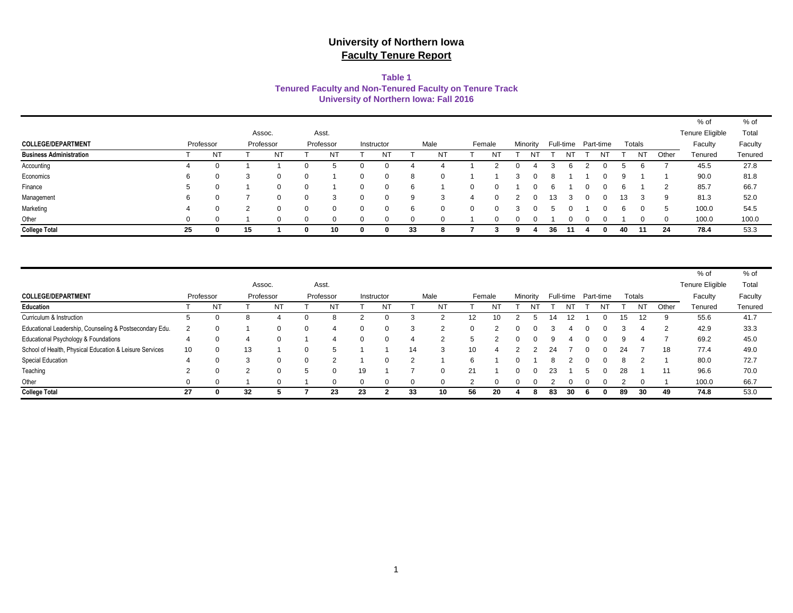#### **Table 1 Tenured Faculty and Non-Tenured Faculty on Tenure Track University of Northern Iowa: Fall 2016**

|                                |    |                  |    |           |           |              |            |    |      |          |        |          |    |  |                     |    |        |       | % of            | % oi    |
|--------------------------------|----|------------------|----|-----------|-----------|--------------|------------|----|------|----------|--------|----------|----|--|---------------------|----|--------|-------|-----------------|---------|
|                                |    |                  |    | Assoc.    | Asst.     |              |            |    |      |          |        |          |    |  |                     |    |        |       | Tenure Eligible | Total   |
| <b>COLLEGE/DEPARTMENT</b>      |    | Professor        |    | Professor | Professor |              | Instructor |    | Male |          | Female | Minority |    |  | Full-time Part-time |    | Totals |       | Faculty         | Faculty |
| <b>Business Administration</b> |    | NT               |    | NT        | NT        |              | N.         |    | ΝT   |          |        |          |    |  | ΝT                  |    | NT     | Other | Tenured         | Tenured |
| Accounting                     | 4  | $\left( \right)$ |    |           | ∽         |              |            |    |      |          |        |          |    |  |                     |    |        |       | 45.5            | 27.8    |
| Economics                      | 6  | 0                |    |           |           | O            |            |    |      |          |        |          |    |  |                     |    |        |       | 90.0            | 81.8    |
| Finance                        | 5  | 0                |    |           |           | <sup>0</sup> |            |    |      | 0        |        |          |    |  |                     | 6  |        | ာ     | 85.7            | 66.7    |
| Management                     | 6  |                  |    |           |           | O            |            |    | 3    |          |        |          | 13 |  |                     | 13 | 3      | 9     | 81.3            | 52.0    |
| Marketing                      | 4  | $\Omega$         |    |           |           | 0            |            |    |      | $\Omega$ |        |          |    |  |                     | 6  |        | đ     | 100.0           | 54.5    |
| Other                          |    |                  |    |           |           |              |            |    |      |          |        |          |    |  |                     |    |        |       | 100.0           | 100.0   |
| <b>College Total</b>           | 25 | 0                | 15 |           | 10        | 0            |            | 33 |      |          |        |          | 36 |  |                     | 40 | -11    | 24    | 78.4            | 53.3    |

|                                                         |                 |           |           |                |          |           |    |            |    |          |          |        |          |          |    |    |    |                     |    |        |       | % of            | % of    |
|---------------------------------------------------------|-----------------|-----------|-----------|----------------|----------|-----------|----|------------|----|----------|----------|--------|----------|----------|----|----|----|---------------------|----|--------|-------|-----------------|---------|
|                                                         |                 |           | Assoc.    |                |          | Asst.     |    |            |    |          |          |        |          |          |    |    |    |                     |    |        |       | Tenure Eligible | Total   |
| <b>COLLEGE/DEPARTMENT</b>                               |                 | Professor | Professor |                |          | Professor |    | Instructor |    | Male     |          | Female |          | Minority |    |    |    | Full-time Part-time |    | Totals |       | Faculty         | Faculty |
| <b>Education</b>                                        |                 | NT.       |           | N <sub>1</sub> |          | NT        |    | <b>NT</b>  |    | NT       |          | N٦     |          |          |    |    |    | NΤ                  |    | NT     | Other | Tenured         | Tenured |
| Curriculum & Instruction                                | . വ             | O         | 8         |                |          |           |    |            |    |          | 12       | 10     |          |          |    |    |    |                     | 15 | 12     | 9     | 55.6            | 41.7    |
| Educational Leadership, Counseling & Postsecondary Edu. |                 | $\Omega$  |           |                | $\Omega$ |           | 0  |            |    | $\Omega$ | $\Omega$ |        | 0        | $\Omega$ |    |    |    |                     |    |        | ົ     | 42.9            | 33.3    |
| Educational Psychology & Foundations                    | 4               | $\Omega$  | 4         |                |          | $\Delta$  | 0  |            |    | ◠        | 5.       |        | $\Omega$ | $\Omega$ | q  |    |    |                     | q  |        |       | 69.2            | 45.0    |
| School of Health, Physical Education & Leisure Services | 10 <sup>°</sup> | 0         | 13        |                |          |           |    |            | 14 |          | 10       |        |          |          | 24 |    |    |                     | 24 |        | 18    | 77.4            | 49.0    |
| Special Education                                       | 4               | $\Omega$  | 3         | $\Omega$       |          | $\sim$    |    |            | C  |          | 6        |        | $\Omega$ |          |    |    |    |                     |    |        |       | 80.0            | 72.7    |
| Teaching                                                | $\overline{2}$  | 0         | 2         |                |          |           | 19 |            |    |          | 21       |        | 0        | $\Omega$ | 23 |    |    |                     | 28 |        |       | 96.6            | 70.0    |
| Other                                                   | $\Omega$        | $\Omega$  |           |                |          |           | 0  | $\Omega$   |    |          |          |        | 0        | $\Omega$ |    |    |    |                     |    |        |       | 100.0           | 66.7    |
| <b>College Total</b>                                    | 27              | 0         | 32        |                |          | 23        | 23 |            | 33 | 10       | 56       | 20     |          | 8        | 83 | 30 | n. |                     | 89 | 30     | 49    | 74.8            | 53.0    |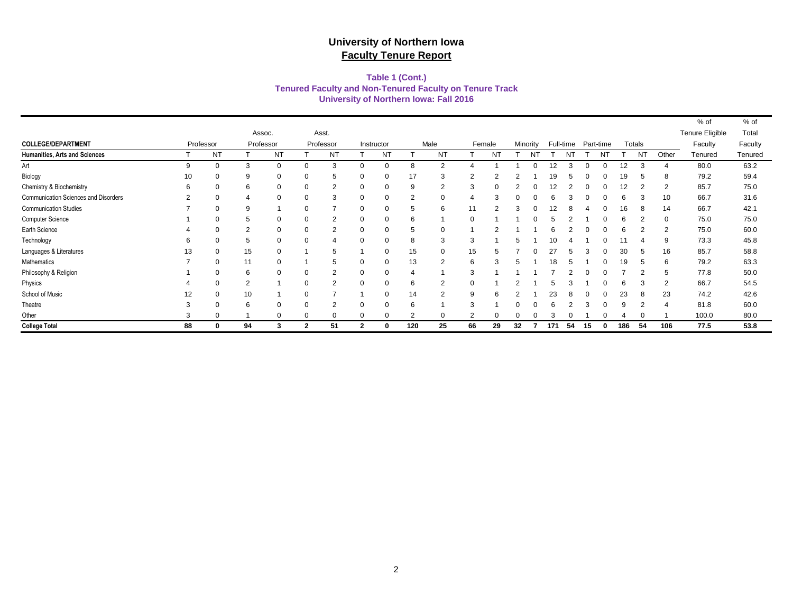#### **Tenured Faculty and Non-Tenured Faculty on Tenure Track Table 1 (Cont.) University of Northern Iowa: Fall 2016**

|                                      |           |           |                |           |                |           |              |            |     |                |    |           |    |          |     |           |    |                |     |        |                | % of                   | % of    |
|--------------------------------------|-----------|-----------|----------------|-----------|----------------|-----------|--------------|------------|-----|----------------|----|-----------|----|----------|-----|-----------|----|----------------|-----|--------|----------------|------------------------|---------|
|                                      |           |           |                | Assoc.    |                | Asst.     |              |            |     |                |    |           |    |          |     |           |    |                |     |        |                | <b>Tenure Eligible</b> | Total   |
| <b>COLLEGE/DEPARTMENT</b>            | Professor |           |                | Professor |                | Professor |              | Instructor |     | Male           |    | Female    |    | Minority |     | Full-time |    | Part-time      |     | Totals |                | Faculty                | Faculty |
| Humanities, Arts and Sciences        |           | <b>NT</b> |                | <b>NT</b> |                | <b>NT</b> |              | <b>NT</b>  |     | NT             |    | <b>NT</b> |    | NT       |     |           |    | N <sub>1</sub> |     | NT     | Other          | Tenured                | Tenured |
| Art                                  | 9         |           | 3              | $\Omega$  | 0              | 3         |              | $\Omega$   | 8   | $\overline{2}$ |    |           |    | ი        | 12  | 3         |    | 0              | 12  | 3      |                | 80.0                   | 63.2    |
| Biology                              | 10        |           | 9              | 0         | 0              |           |              | $\Omega$   | 17  | 3              |    |           |    |          | 19  |           |    |                |     |        | 8              | 79.2                   | 59.4    |
| Chemistry & Biochemistry             | 6         |           | 6              | 0         | 0              |           |              | $\Omega$   | 9   | 2              | 3  |           |    |          |     |           |    |                |     |        | 2              | 85.7                   | 75.0    |
| Communication Sciences and Disorders | 2         |           | 4              | 0         | 0              |           |              |            | 2   | 0              |    |           |    |          |     |           |    |                |     |        | 10             | 66.7                   | 31.6    |
| <b>Communication Studies</b>         |           |           | 9              |           | 0              |           |              | $\Omega$   | 5   | 6              |    |           |    |          |     |           |    |                |     |        | 14             | 66.7                   | 42.1    |
| Computer Science                     |           |           | 5              | $\Omega$  | 0              |           |              | $\Omega$   | 6   |                |    |           |    |          |     |           |    |                |     |        | $\Omega$       | 75.0                   | 75.0    |
| Earth Science                        |           |           | $\overline{2}$ | $\Omega$  | $\Omega$       | 2         |              | $\Omega$   | 5   | $\Omega$       |    |           |    |          |     |           |    |                |     |        | $\overline{2}$ | 75.0                   | 60.0    |
| Technology                           | 6         |           | 5              | $\Omega$  | $\mathbf 0$    |           |              | $\Omega$   | 8   | 3              | 3  |           |    |          |     |           |    |                |     |        | 9              | 73.3                   | 45.8    |
| Languages & Literatures              | 13        |           | 15             | 0         |                | 5         |              | $\Omega$   | 15  | 0              | 15 |           |    |          | דפ  |           |    |                | 30  |        | 16             | 85.7                   | 58.8    |
| Mathematics                          |           |           | 11             | $\Omega$  |                | .h        |              | $\Omega$   | 13  | $\overline{2}$ | 6  |           |    |          | 18  |           |    |                | 19  | h      | 6              | 79.2                   | 63.3    |
| Philosophy & Religion                |           |           | 6              | 0         | 0              | 2         | O            | $\Omega$   | 4   |                | 3  |           |    |          |     |           |    |                |     | 2      | 5              | 77.8                   | 50.0    |
| Physics                              |           |           | $\overline{2}$ |           | 0              |           |              | $\Omega$   | 6   | 2              |    |           |    |          |     |           |    |                |     | 3      | $\overline{2}$ | 66.7                   | 54.5    |
| School of Music                      | 12        |           | 10             |           | 0              |           |              | $\Omega$   | 14  | 2              |    |           |    |          | 23  |           |    |                | 23  | 8      | 23             | 74.2                   | 42.6    |
| Theatre                              | 3         |           | 6              | $\Omega$  | 0              |           |              | $\Omega$   | 6   |                |    |           |    |          |     |           |    |                |     |        | $\overline{4}$ | 81.8                   | 60.0    |
| Other                                | 3         |           |                | 0         | 0              | $\Omega$  |              | $\Omega$   | 2   | 0              |    | $\Omega$  |    |          |     |           |    |                |     |        |                | 100.0                  | 80.0    |
| <b>College Total</b>                 | 88        |           | 94             | 3         | $\overline{2}$ | 51        | $\mathbf{2}$ | 0          | 120 | 25             | 66 | 29        | 32 |          | 171 | 54        | 15 |                | 186 | 54     | 106            | 77.5                   | 53.8    |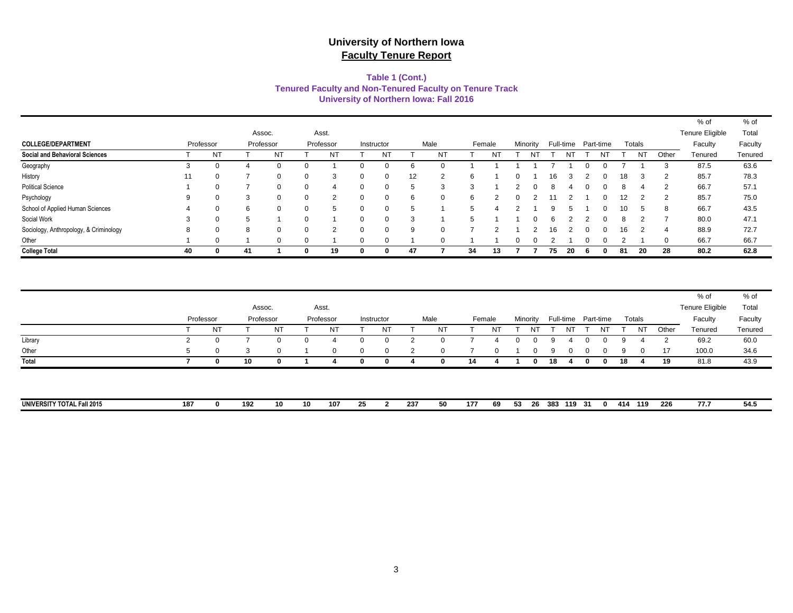#### **Tenured Faculty and Non-Tenured Faculty on Tenure Track Table 1 (Cont.) University of Northern Iowa: Fall 2016**

|                                        |    |                |     |           |          |           |            |    |            |    |        |   |          |    |    |    |                     |    |        |       | % of            | % of    |
|----------------------------------------|----|----------------|-----|-----------|----------|-----------|------------|----|------------|----|--------|---|----------|----|----|----|---------------------|----|--------|-------|-----------------|---------|
|                                        |    |                |     | Assoc.    |          | Asst.     |            |    |            |    |        |   |          |    |    |    |                     |    |        |       | Tenure Eligible | Total   |
| <b>COLLEGE/DEPARTMENT</b>              |    | Professor      |     | Professor |          | Professor | Instructor |    | Male       |    | Female |   | Minority |    |    |    | Full-time Part-time |    | Totals |       | Faculty         | Faculty |
| <b>Social and Behavioral Sciences</b>  |    | N <sub>1</sub> |     | NT        |          | NT        | NT         |    | NT         |    | N1     |   | Νī       |    | NΤ |    | Νl                  |    | NT     | Other | Tenured         | Tenured |
| Geography                              | 3  | 0              |     | 0         |          |           |            |    |            |    |        |   |          |    |    |    |                     |    |        | 3     | 87.5            | 63.6    |
| History                                | 11 | 0              |     | 0         | 0        | 3         |            | 12 | ◠          | 6  |        | o |          | 16 |    |    |                     | 18 |        | 2     | 85.7            | 78.3    |
| <b>Political Science</b>               |    | $\Omega$       |     | $\Omega$  | $\Omega$ |           |            |    | $\sqrt{2}$ |    |        |   |          |    |    |    |                     |    |        | 2     | 66.7            | 57.1    |
| Psychology                             | 9  | $\Omega$       | 3   | 0         | $\Omega$ | 2         | $\Omega$   | 6  |            | 6  |        |   |          |    |    |    |                     | 12 |        | 2     | 85.7            | 75.0    |
| School of Applied Human Sciences       |    | 0              | 6   | 0         | 0        |           |            |    |            | 5  |        |   |          |    |    |    |                     | 10 |        | 8     | 66.7            | 43.5    |
| Social Work                            | 3  | 0              |     |           | $\Omega$ |           | $\Omega$   | 3  |            | г. |        |   |          |    |    |    |                     |    |        |       | 80.0            | 47.1    |
| Sociology, Anthropology, & Criminology | 8  | $\Omega$       | 8   | 0         | $\Omega$ | ົ         | $\cap$     |    |            |    |        |   |          | 16 |    |    |                     | 16 |        | 4     | 88.9            | 72.7    |
| Other                                  |    | $\Omega$       |     | $\Omega$  | $\Omega$ |           | $\Omega$   |    |            |    |        | O |          |    |    |    |                     |    |        | 0     | 66.7            | 66.7    |
| <b>College Total</b>                   | 40 | 0              | -41 |           | 0        | 19        | 0          | 47 |            | 34 | 13     |   |          | 75 | 20 | 'n |                     | 81 | 20     | 28    | 80.2            | 62.8    |

|                                   |     |           |           |          |    |                |          |            |     |                |     |          |     |          |            |    |                     |     |          |       | % of            | % of    |
|-----------------------------------|-----|-----------|-----------|----------|----|----------------|----------|------------|-----|----------------|-----|----------|-----|----------|------------|----|---------------------|-----|----------|-------|-----------------|---------|
|                                   |     |           |           | Assoc.   |    | Asst.          |          |            |     |                |     |          |     |          |            |    |                     |     |          |       | Tenure Eligible | Total   |
|                                   |     | Professor | Professor |          |    | Professor      |          | Instructor |     | Male           |     | Female   |     | Minority |            |    | Full-time Part-time |     | Totals   |       | Faculty         | Faculty |
|                                   |     | <b>NT</b> |           | NT       |    | NT             |          | <b>NT</b>  |     | <b>NT</b>      |     | NT       |     |          |            | NT | N                   |     | NT       | Other | Tenured         | Tenured |
| Library                           | 2   | 0         |           | 0        | 0  |                |          | 0          |     |                |     |          |     |          | ч          |    |                     |     |          |       | 69.2            | 60.0    |
| Other                             | -5  | $\Omega$  | -3        | $\Omega$ |    | $\overline{0}$ | $\Omega$ | 0          | 2   | $\overline{0}$ |     | $\Omega$ |     |          | 9          |    |                     | 9   | $\Omega$ | 17    | 100.0           | 34.6    |
| Total                             |     |           | 10        | 0        |    |                | 0        | 0          |     | 0              | 14  |          |     |          | 18         |    | 0                   | 18  |          | 19    | 81.8            | 43.9    |
|                                   |     |           |           |          |    |                |          |            |     |                |     |          |     |          |            |    |                     |     |          |       |                 |         |
|                                   |     |           |           |          |    |                |          |            |     |                |     |          |     |          |            |    |                     |     |          |       |                 |         |
| <b>UNIVERSITY TOTAL Fall 2015</b> | 187 |           | 192       | 10       | 10 | 107            | 25       |            | 237 | 50             | 177 | 69       | -53 | -26      | 383 119 31 |    | $\Omega$            | 414 | 119      | 226   | 77.7            | 54.5    |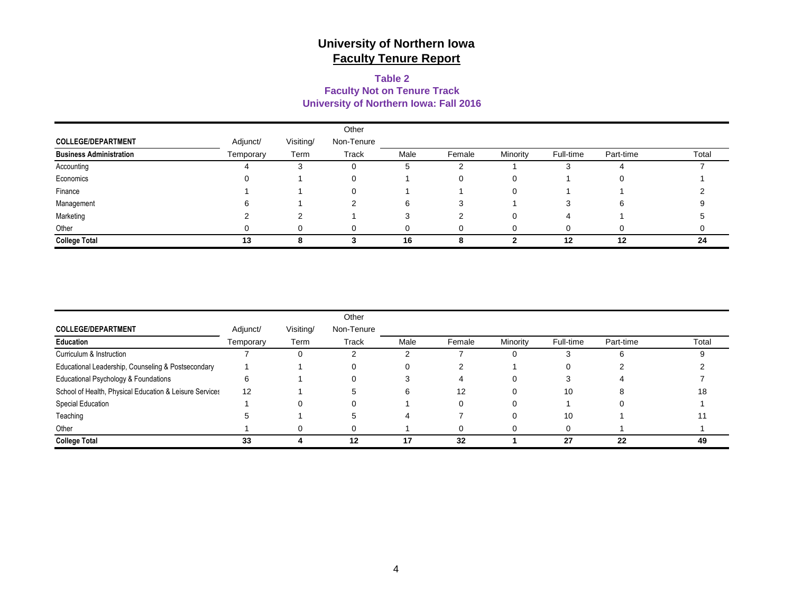#### **University of Northern Iowa: Fall 2016 Table 2 Faculty Not on Tenure Track**

|                                |           |           | Other      |      |        |          |           |           |       |
|--------------------------------|-----------|-----------|------------|------|--------|----------|-----------|-----------|-------|
| <b>COLLEGE/DEPARTMENT</b>      | Adjunct/  | Visiting/ | Non-Tenure |      |        |          |           |           |       |
| <b>Business Administration</b> | Temporary | Term      | Track      | Male | Female | Minority | Full-time | Part-time | Total |
| Accounting                     |           |           | U          |      |        |          |           |           |       |
| Economics                      |           |           |            |      |        |          |           |           |       |
| Finance                        |           |           |            |      |        |          |           |           |       |
| Management                     |           |           |            | 6    |        |          |           | 6         |       |
| Marketing                      |           |           |            |      |        |          | 4         |           |       |
| Other                          |           |           |            |      |        |          |           |           |       |
| <b>College Total</b>           | 13        |           |            | 16   | 8      |          | 12        | 12        | 24    |

|                                                         |           |           | Other      |      |        |          |           |           |       |
|---------------------------------------------------------|-----------|-----------|------------|------|--------|----------|-----------|-----------|-------|
| <b>COLLEGE/DEPARTMENT</b>                               | Adjunct/  | Visiting/ | Non-Tenure |      |        |          |           |           |       |
| Education                                               | Temporary | Term      | Track      | Male | Female | Minority | Full-time | Part-time | Total |
| Curriculum & Instruction                                |           | O         |            |      |        |          |           |           |       |
| Educational Leadership, Counseling & Postsecondary      |           |           |            |      |        |          |           |           |       |
| Educational Psychology & Foundations                    |           |           |            |      |        | .,       |           |           |       |
| School of Health, Physical Education & Leisure Services | 12        |           |            | 6    | 12     |          | 10        |           | 18    |
| Special Education                                       |           |           |            |      |        |          |           |           |       |
| Teaching                                                |           |           |            |      |        |          | 10        |           |       |
| Other                                                   |           |           |            |      |        |          |           |           |       |
| <b>College Total</b>                                    | 33        |           | 12         | 17   | 32     |          | 27        | 22        | 49    |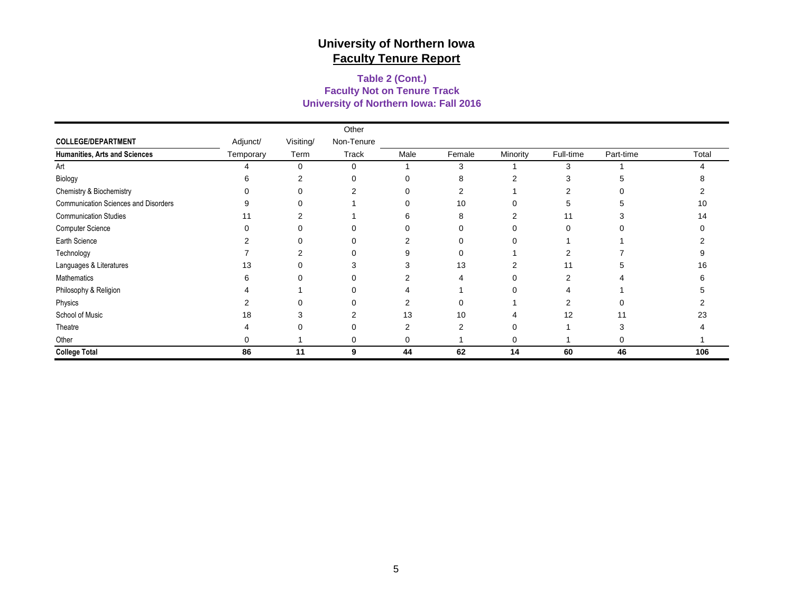#### **University of Northern Iowa: Fall 2016 Faculty Not on Tenure Track Table 2 (Cont.)**

|                                      |           |           | Other      |      |        |          |           |           |       |
|--------------------------------------|-----------|-----------|------------|------|--------|----------|-----------|-----------|-------|
| <b>COLLEGE/DEPARTMENT</b>            | Adjunct/  | Visiting/ | Non-Tenure |      |        |          |           |           |       |
| Humanities, Arts and Sciences        | Temporary | Term      | Track      | Male | Female | Minority | Full-time | Part-time | Total |
| Art                                  |           | 0         | 0          |      | 3      |          | 3         |           |       |
| Biology                              | ิค        | 2         | 0          | 0    | 8      | 2        | 3         |           |       |
| Chemistry & Biochemistry             |           |           |            | ∩    |        |          |           |           |       |
| Communication Sciences and Disorders |           |           |            | 0    | 10     |          | 5         |           | 10    |
| <b>Communication Studies</b>         | 11        | ◠         |            | 6    | 8      | ◠        | 11        |           | 14    |
| Computer Science                     |           |           |            |      |        |          | 0         |           |       |
| Earth Science                        |           |           |            |      |        |          |           |           |       |
| Technology                           |           |           |            | 9    |        |          | 2         |           |       |
| Languages & Literatures              | 13        |           |            | 3    | 13     | 2        | 11        |           | 16    |
| Mathematics                          |           |           |            | 2    |        |          | ◠         |           |       |
| Philosophy & Religion                |           |           |            |      |        |          |           |           |       |
| Physics                              |           |           |            | 2    |        |          | 2         |           |       |
| School of Music                      | 18        | З         | 2          | 13   | 10     | 4        | 12        | 11        | 23    |
| Theatre                              |           |           | O          | 2    | 2      | 0        |           |           |       |
| Other                                |           |           | 0          | 0    |        | 0        |           | 0         |       |
| <b>College Total</b>                 | 86        | 11        | 9          | 44   | 62     | 14       | 60        | 46        | 106   |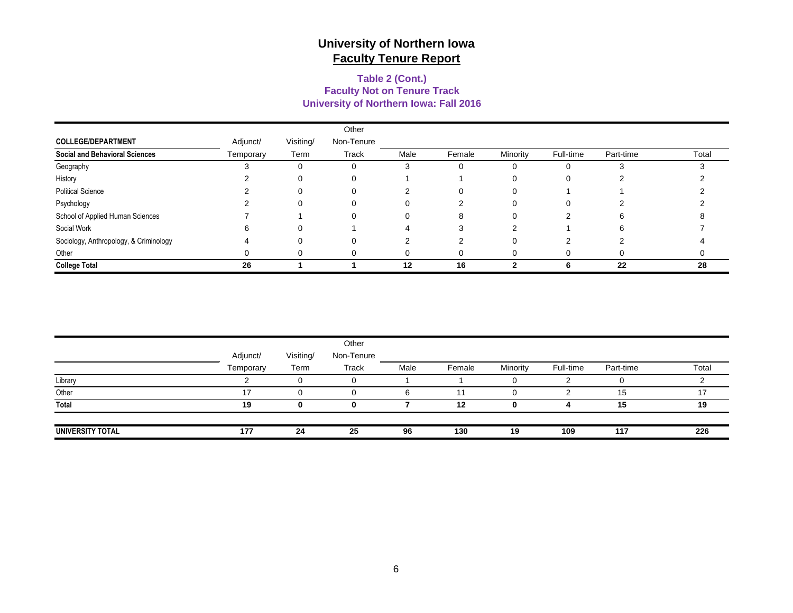#### **Faculty Not on Tenure Track Table 2 (Cont.) University of Northern Iowa: Fall 2016**

|                                        |           |           | Other      |      |        |          |           |           |       |
|----------------------------------------|-----------|-----------|------------|------|--------|----------|-----------|-----------|-------|
| <b>COLLEGE/DEPARTMENT</b>              | Adjunct/  | Visiting/ | Non-Tenure |      |        |          |           |           |       |
| <b>Social and Behavioral Sciences</b>  | Temporary | Term      | Track      | Male | Female | Minority | Full-time | Part-time | Total |
| Geography                              |           |           | 0          |      |        |          | 0         |           |       |
| History                                |           |           | 0          |      |        |          |           |           |       |
| <b>Political Science</b>               |           |           | 0          |      |        |          |           |           |       |
| Psychology                             |           |           | 0          | 0    |        |          | 0         |           |       |
| School of Applied Human Sciences       |           |           | 0          | 0    | 8      |          |           | 6         |       |
| Social Work                            |           |           |            |      |        |          |           | 6.        |       |
| Sociology, Anthropology, & Criminology |           |           | 0          |      |        |          |           |           |       |
| Other                                  |           |           | 0          |      |        |          |           |           |       |
| <b>College Total</b>                   | 26        |           |            | 12   | 16     |          | n         | 22        | 28    |

|                  |           |           | Other      |      |        |          |           |           |       |
|------------------|-----------|-----------|------------|------|--------|----------|-----------|-----------|-------|
|                  | Adjunct/  | Visiting/ | Non-Tenure |      |        |          |           |           |       |
|                  | Temporary | Term      | Track      | Male | Female | Minority | Full-time | Part-time | Total |
| Library          |           |           |            |      |        |          |           |           |       |
| Other            | 47        |           |            |      | 11     |          |           | 15        |       |
| Total            | 19        | 0         | 0          |      | 12     | 0        | д         | 15        | 19    |
| UNIVERSITY TOTAL | 177       | 24        | 25         | 96   | 130    | 19       | 109       | 117       | 226   |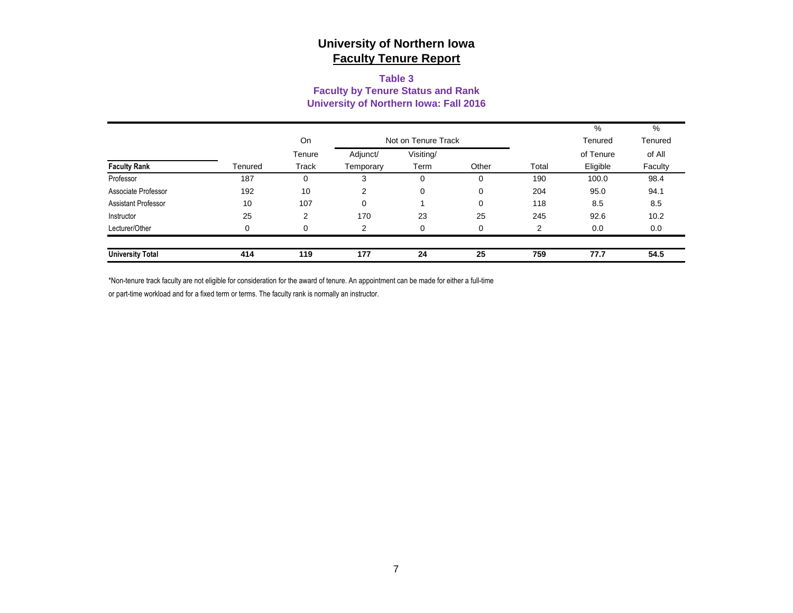#### **Table 3 Faculty by Tenure Status and Rank University of Northern Iowa: Fall 2016**

|                            |          |          |           |                     |       |       | %         | %       |
|----------------------------|----------|----------|-----------|---------------------|-------|-------|-----------|---------|
|                            |          | On       |           | Not on Tenure Track |       |       | Tenured   | Tenured |
|                            |          | Tenure   | Adjunct/  | Visiting/           |       |       | of Tenure | of All  |
| <b>Faculty Rank</b>        | Tenured  | Track    | Temporary | Term                | Other | Total | Eligible  | Faculty |
| Professor                  | 187      | $\Omega$ | 3         | 0                   | 0     | 190   | 100.0     | 98.4    |
| Associate Professor        | 192      | 10       | 2         | 0                   | 0     | 204   | 95.0      | 94.1    |
| <b>Assistant Professor</b> | 10       | 107      | 0         |                     | 0     | 118   | 8.5       | 8.5     |
| Instructor                 | 25       | 2        | 170       | 23                  | 25    | 245   | 92.6      | 10.2    |
| Lecturer/Other             | $\Omega$ | $\Omega$ | 2         | <sup>0</sup>        | 0     | 2     | 0.0       | 0.0     |
|                            |          |          |           |                     |       |       |           |         |
| <b>University Total</b>    | 414      | 119      | 177       | 24                  | 25    | 759   | 77.7      | 54.5    |

\*Non-tenure track faculty are not eligible for consideration for the award of tenure. An appointment can be made for either a full-time

or part-time workload and for a fixed term or terms. The faculty rank is normally an instructor.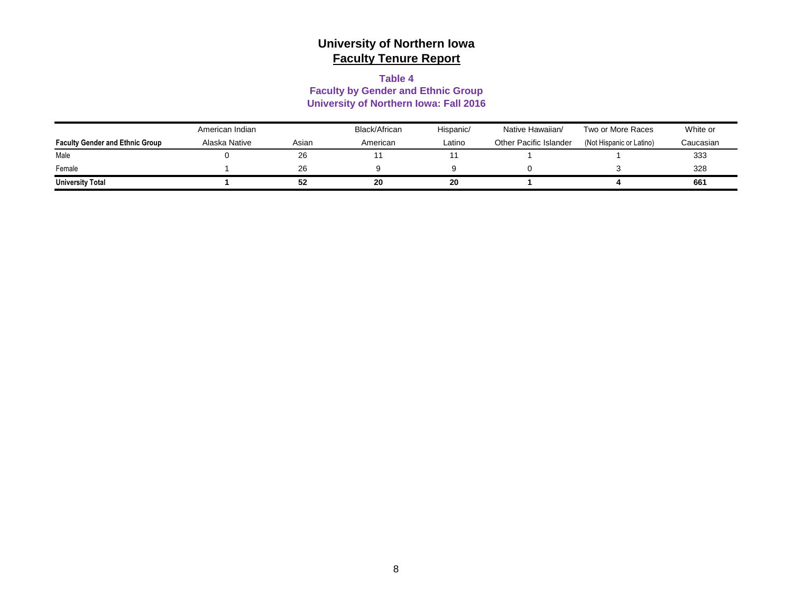#### **Table 4**

#### **Faculty by Gender and Ethnic Group University of Northern Iowa: Fall 2016**

|                                        | American Indian |       | Black/African | Hispanic/ | Native Hawaiian/       | Two or More Races        | White or  |
|----------------------------------------|-----------------|-------|---------------|-----------|------------------------|--------------------------|-----------|
| <b>Faculty Gender and Ethnic Group</b> | Alaska Native   | Asian | American      | Latino    | Other Pacific Islander | (Not Hispanic or Latino) | Caucasian |
| Male                                   |                 | 26    |               |           |                        |                          | 333       |
| Female                                 |                 | 26    |               |           |                        |                          | 328       |
| <b>University Total</b>                |                 | 52    | 20            | 20        |                        |                          | 661       |